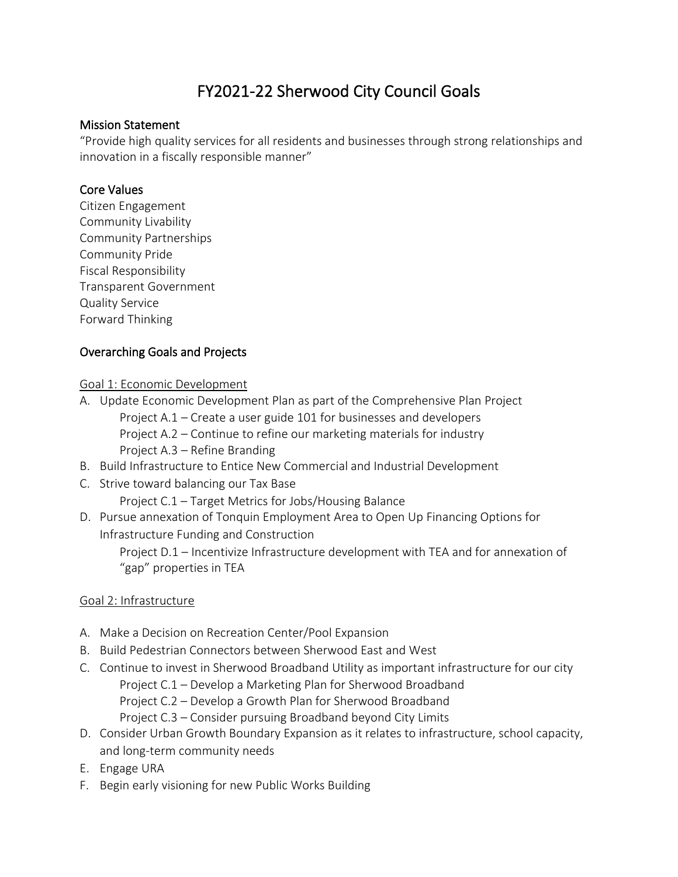# FY2021-22 Sherwood City Council Goals

#### Mission Statement

"Provide high quality services for all residents and businesses through strong relationships and innovation in a fiscally responsible manner"

#### Core Values

Citizen Engagement Community Livability Community Partnerships Community Pride Fiscal Responsibility Transparent Government Quality Service Forward Thinking

#### Overarching Goals and Projects

#### Goal 1: Economic Development

- A. Update Economic Development Plan as part of the Comprehensive Plan Project
	- Project A.1 Create a user guide 101 for businesses and developers Project A.2 – Continue to refine our marketing materials for industry Project A.3 – Refine Branding
- B. Build Infrastructure to Entice New Commercial and Industrial Development
- C. Strive toward balancing our Tax Base Project C.1 – Target Metrics for Jobs/Housing Balance
- D. Pursue annexation of Tonquin Employment Area to Open Up Financing Options for Infrastructure Funding and Construction Project D.1 – Incentivize Infrastructure development with TEA and for annexation of "gap" properties in TEA

#### Goal 2: Infrastructure

- A. Make a Decision on Recreation Center/Pool Expansion
- B. Build Pedestrian Connectors between Sherwood East and West
- C. Continue to invest in Sherwood Broadband Utility as important infrastructure for our city Project C.1 – Develop a Marketing Plan for Sherwood Broadband Project C.2 – Develop a Growth Plan for Sherwood Broadband Project C.3 – Consider pursuing Broadband beyond City Limits
- D. Consider Urban Growth Boundary Expansion as it relates to infrastructure, school capacity, and long-term community needs
- E. Engage URA
- F. Begin early visioning for new Public Works Building